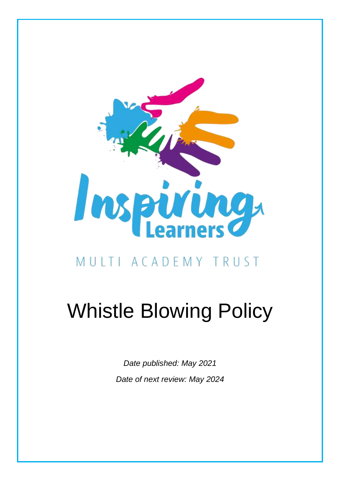

# MULTI ACADEMY TRUST

# Whistle Blowing Policy

*Date published: May 2021 Date of next review: May 2024*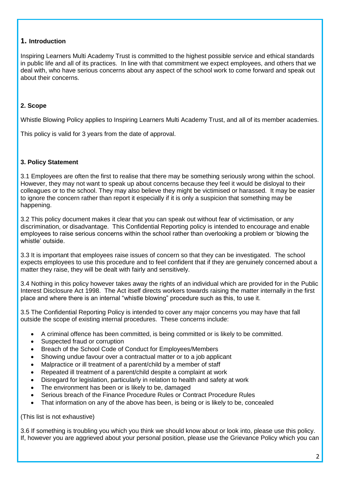# **1. Introduction**

Inspiring Learners Multi Academy Trust is committed to the highest possible service and ethical standards in public life and all of its practices. In line with that commitment we expect employees, and others that we deal with, who have serious concerns about any aspect of the school work to come forward and speak out about their concerns.

# **2. Scope**

Whistle Blowing Policy applies to Inspiring Learners Multi Academy Trust, and all of its member academies.

This policy is valid for 3 years from the date of approval.

## **3. Policy Statement**

3.1 Employees are often the first to realise that there may be something seriously wrong within the school. However, they may not want to speak up about concerns because they feel it would be disloyal to their colleagues or to the school. They may also believe they might be victimised or harassed. It may be easier to ignore the concern rather than report it especially if it is only a suspicion that something may be happening.

3.2 This policy document makes it clear that you can speak out without fear of victimisation, or any discrimination, or disadvantage. This Confidential Reporting policy is intended to encourage and enable employees to raise serious concerns within the school rather than overlooking a problem or 'blowing the whistle' outside.

3.3 It is important that employees raise issues of concern so that they can be investigated. The school expects employees to use this procedure and to feel confident that if they are genuinely concerned about a matter they raise, they will be dealt with fairly and sensitively.

3.4 Nothing in this policy however takes away the rights of an individual which are provided for in the Public Interest Disclosure Act 1998. The Act itself directs workers towards raising the matter internally in the first place and where there is an internal "whistle blowing" procedure such as this, to use it.

3.5 The Confidential Reporting Policy is intended to cover any major concerns you may have that fall outside the scope of existing internal procedures. These concerns include:

- A criminal offence has been committed, is being committed or is likely to be committed.
- Suspected fraud or corruption
- Breach of the School Code of Conduct for Employees/Members
- Showing undue favour over a contractual matter or to a job applicant
- Malpractice or ill treatment of a parent/child by a member of staff
- Repeated ill treatment of a parent/child despite a complaint at work
- Disregard for legislation, particularly in relation to health and safety at work
- The environment has been or is likely to be, damaged
- Serious breach of the Finance Procedure Rules or Contract Procedure Rules
- That information on any of the above has been, is being or is likely to be, concealed

(This list is not exhaustive)

3.6 If something is troubling you which you think we should know about or look into, please use this policy. If, however you are aggrieved about your personal position, please use the Grievance Policy which you can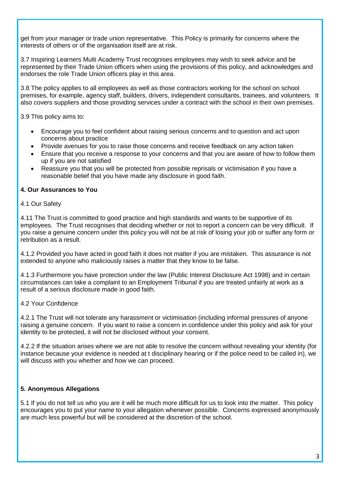get from your manager or trade union representative. This Policy is primarily for concerns where the interests of others or of the organisation itself are at risk.

3.7 Inspiring Learners Multi Academy Trust recognises employees may wish to seek advice and be represented by their Trade Union officers when using the provisions of this policy, and acknowledges and endorses the role Trade Union officers play in this area.

3.8 The policy applies to all employees as well as those contractors working for the school on school premises, for example, agency staff, builders, drivers, independent consultants, trainees, and volunteers. It also covers suppliers and those providing services under a contract with the school in their own premises.

3.9 This policy aims to:

- Encourage you to feel confident about raising serious concerns and to question and act upon concerns about practice
- Provide avenues for you to raise those concerns and receive feedback on any action taken
- Ensure that you receive a response to your concerns and that you are aware of how to follow them up if you are not satisfied
- Reassure you that you will be protected from possible reprisals or victimisation if you have a reasonable belief that you have made any disclosure in good faith.

## **4. Our Assurances to You**

4.1 Our Safety

4.11 The Trust is committed to good practice and high standards and wants to be supportive of its employees. The Trust recognises that deciding whether or not to report a concern can be very difficult. If you raise a genuine concern under this policy you will not be at risk of losing your job or suffer any form or retribution as a result.

4.1.2 Provided you have acted in good faith it does not matter if you are mistaken. This assurance is not extended to anyone who maliciously raises a matter that they know to be false.

4.1.3 Furthermore you have protection under the law (Public Interest Disclosure Act 1998) and in certain circumstances can take a complaint to an Employment Tribunal if you are treated unfairly at work as a result of a serious disclosure made in good faith.

#### 4.2 Your Confidence

4.2.1 The Trust will not tolerate any harassment or victimisation (including informal pressures of anyone raising a genuine concern. If you want to raise a concern in confidence under this policy and ask for your identity to be protected, it will not be disclosed without your consent.

4.2.2 If the situation arises where we are not able to resolve the concern without revealing your identity (for instance because your evidence is needed at t disciplinary hearing or if the police need to be called in), we will discuss with you whether and how we can proceed.

# **5. Anonymous Allegations**

5.1 If you do not tell us who you are it will be much more difficult for us to look into the matter. This policy encourages you to put your name to your allegation whenever possible. Concerns expressed anonymously are much less powerful but will be considered at the discretion of the school.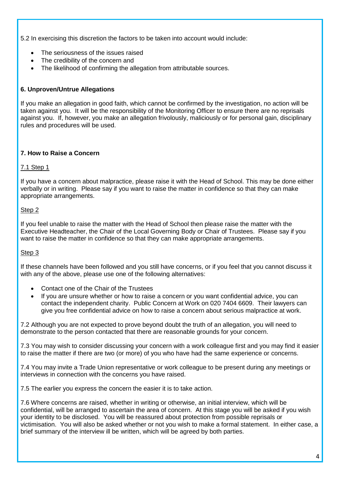5.2 In exercising this discretion the factors to be taken into account would include:

- The seriousness of the issues raised
- The credibility of the concern and
- The likelihood of confirming the allegation from attributable sources.

# **6. Unproven/Untrue Allegations**

If you make an allegation in good faith, which cannot be confirmed by the investigation, no action will be taken against you. It will be the responsibility of the Monitoring Officer to ensure there are no reprisals against you. If, however, you make an allegation frivolously, maliciously or for personal gain, disciplinary rules and procedures will be used.

#### **7. How to Raise a Concern**

#### 7.1 Step 1

If you have a concern about malpractice, please raise it with the Head of School. This may be done either verbally or in writing. Please say if you want to raise the matter in confidence so that they can make appropriate arrangements.

#### Step 2

If you feel unable to raise the matter with the Head of School then please raise the matter with the Executive Headteacher, the Chair of the Local Governing Body or Chair of Trustees. Please say if you want to raise the matter in confidence so that they can make appropriate arrangements.

#### Step 3

If these channels have been followed and you still have concerns, or if you feel that you cannot discuss it with any of the above, please use one of the following alternatives:

- Contact one of the Chair of the Trustees
- If you are unsure whether or how to raise a concern or you want confidential advice, you can contact the independent charity. Public Concern at Work on 020 7404 6609. Their lawyers can give you free confidential advice on how to raise a concern about serious malpractice at work.

7.2 Although you are not expected to prove beyond doubt the truth of an allegation, you will need to demonstrate to the person contacted that there are reasonable grounds for your concern.

7.3 You may wish to consider discussing your concern with a work colleague first and you may find it easier to raise the matter if there are two (or more) of you who have had the same experience or concerns.

7.4 You may invite a Trade Union representative or work colleague to be present during any meetings or interviews in connection with the concerns you have raised.

7.5 The earlier you express the concern the easier it is to take action.

7.6 Where concerns are raised, whether in writing or otherwise, an initial interview, which will be confidential, will be arranged to ascertain the area of concern. At this stage you will be asked if you wish your identity to be disclosed. You will be reassured about protection from possible reprisals or victimisation. You will also be asked whether or not you wish to make a formal statement. In either case, a brief summary of the interview ill be written, which will be agreed by both parties.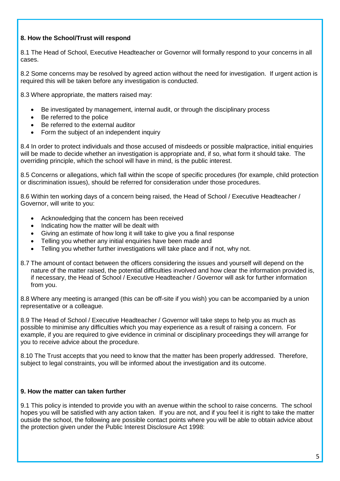## **8. How the School/Trust will respond**

8.1 The Head of School, Executive Headteacher or Governor will formally respond to your concerns in all cases.

8.2 Some concerns may be resolved by agreed action without the need for investigation. If urgent action is required this will be taken before any investigation is conducted.

8.3 Where appropriate, the matters raised may:

- Be investigated by management, internal audit, or through the disciplinary process
- Be referred to the police
- Be referred to the external auditor
- Form the subject of an independent inquiry

8.4 In order to protect individuals and those accused of misdeeds or possible malpractice, initial enquiries will be made to decide whether an investigation is appropriate and, if so, what form it should take. The overriding principle, which the school will have in mind, is the public interest.

8.5 Concerns or allegations, which fall within the scope of specific procedures (for example, child protection or discrimination issues), should be referred for consideration under those procedures.

8.6 Within ten working days of a concern being raised, the Head of School / Executive Headteacher / Governor, will write to you:

- Acknowledging that the concern has been received
- Indicating how the matter will be dealt with
- Giving an estimate of how long it will take to give you a final response
- Telling you whether any initial enquiries have been made and
- Telling you whether further investigations will take place and if not, why not.
- 8.7 The amount of contact between the officers considering the issues and yourself will depend on the nature of the matter raised, the potential difficulties involved and how clear the information provided is, if necessary, the Head of School / Executive Headteacher / Governor will ask for further information from you.

8.8 Where any meeting is arranged (this can be off-site if you wish) you can be accompanied by a union representative or a colleague.

8.9 The Head of School / Executive Headteacher / Governor will take steps to help you as much as possible to minimise any difficulties which you may experience as a result of raising a concern. For example, if you are required to give evidence in criminal or disciplinary proceedings they will arrange for you to receive advice about the procedure.

8.10 The Trust accepts that you need to know that the matter has been properly addressed. Therefore, subject to legal constraints, you will be informed about the investigation and its outcome.

#### **9. How the matter can taken further**

9.1 This policy is intended to provide you with an avenue within the school to raise concerns. The school hopes you will be satisfied with any action taken. If you are not, and if you feel it is right to take the matter outside the school, the following are possible contact points where you will be able to obtain advice about the protection given under the Public Interest Disclosure Act 1998: